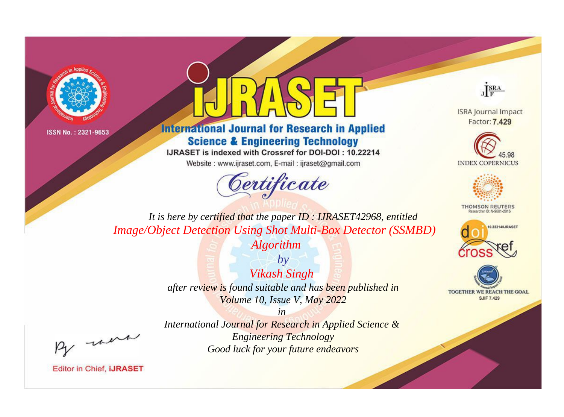



## **International Journal for Research in Applied Science & Engineering Technology**

IJRASET is indexed with Crossref for DOI-DOI: 10.22214

Website: www.ijraset.com, E-mail: ijraset@gmail.com





**ISRA Journal Impact** Factor: 7.429





**THOMSON REUTERS** 



TOGETHER WE REACH THE GOAL **SJIF 7.429** 

*It is here by certified that the paper ID : IJRASET42968, entitled Image/Object Detection Using Shot Multi-Box Detector (SSMBD)* 

*Algorithm*

*by Vikash Singh after review is found suitable and has been published in Volume 10, Issue V, May 2022*

, un

*International Journal for Research in Applied Science & Engineering Technology Good luck for your future endeavors*

*in*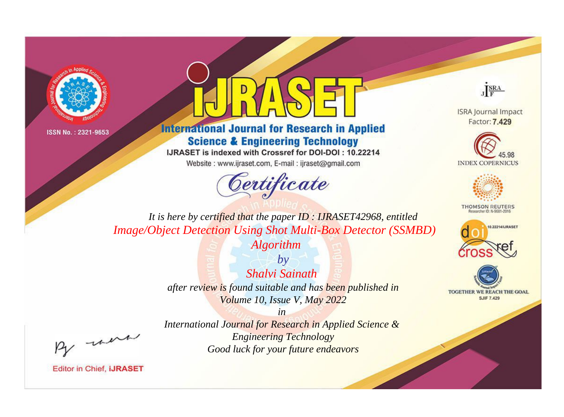



**International Journal for Research in Applied Science & Engineering Technology** 

IJRASET is indexed with Crossref for DOI-DOI: 10.22214

Website: www.ijraset.com, E-mail: ijraset@gmail.com



JERA

**ISRA Journal Impact** Factor: 7.429





**THOMSON REUTERS** 



TOGETHER WE REACH THE GOAL **SJIF 7.429** 

It is here by certified that the paper ID: IJRASET42968, entitled **Image/Object Detection Using Shot Multi-Box Detector (SSMBD)** 

**Algorithm** 

 $by$ Shalvi Sainath after review is found suitable and has been published in Volume 10, Issue V, May 2022

were

International Journal for Research in Applied Science & **Engineering Technology** Good luck for your future endeavors

 $in$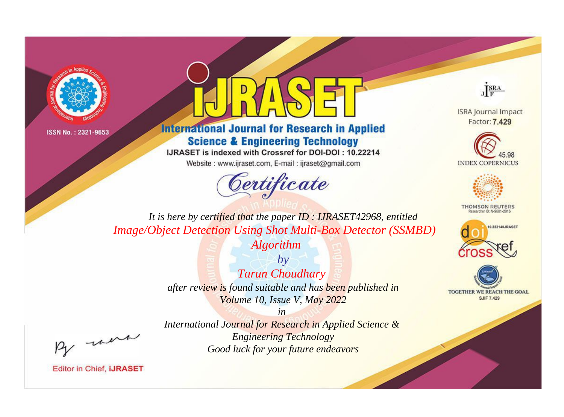



## **International Journal for Research in Applied Science & Engineering Technology**

IJRASET is indexed with Crossref for DOI-DOI: 10.22214

Website: www.ijraset.com, E-mail: ijraset@gmail.com





**ISRA Journal Impact** Factor: 7.429





**THOMSON REUTERS** 



TOGETHER WE REACH THE GOAL **SJIF 7.429** 

*It is here by certified that the paper ID : IJRASET42968, entitled Image/Object Detection Using Shot Multi-Box Detector (SSMBD)* 

*Algorithm*

*by Tarun Choudhary after review is found suitable and has been published in Volume 10, Issue V, May 2022*

, were

*International Journal for Research in Applied Science & Engineering Technology Good luck for your future endeavors*

*in*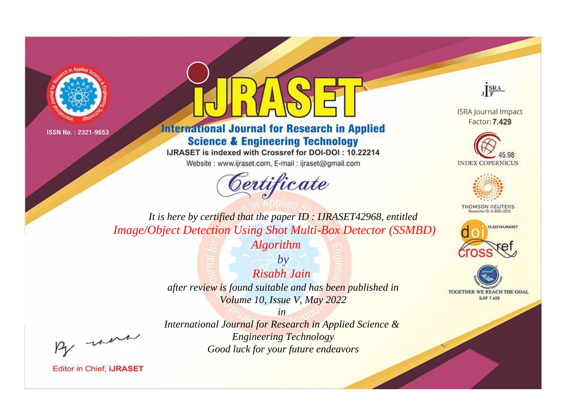



**International Journal for Research in Applied Science & Engineering Technology** 

IJRASET is indexed with Crossref for DOI-DOI: 10.22214

Website: www.ijraset.com, E-mail: ijraset@gmail.com





**ISRA Journal Impact** Factor: 7.429





**THOMSON REUTERS** 



TOGETHER WE REACH THE GOAL **SJIF 7.429** 

*It is here by certified that the paper ID : IJRASET42968, entitled Image/Object Detection Using Shot Multi-Box Detector (SSMBD)* 

*Algorithm*

*by Risabh Jain after review is found suitable and has been published in Volume 10, Issue V, May 2022*

, were

*International Journal for Research in Applied Science & Engineering Technology Good luck for your future endeavors*

*in*